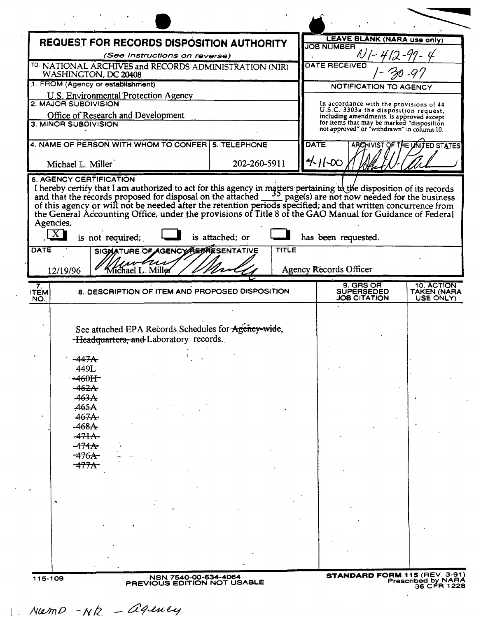|                                    |                                                                     | REQUEST FOR RECORDS DISPOSITION AUTHORITY                                                     |                 |              | <b>LEAVE BLANK (NARA use only)</b><br><b>JOB NUMBER</b>                                                                                                                                                                           |                                |
|------------------------------------|---------------------------------------------------------------------|-----------------------------------------------------------------------------------------------|-----------------|--------------|-----------------------------------------------------------------------------------------------------------------------------------------------------------------------------------------------------------------------------------|--------------------------------|
|                                    |                                                                     | (See Instructions on reverse)                                                                 |                 |              |                                                                                                                                                                                                                                   |                                |
|                                    | WASHINGTON, DC 20408                                                | TO. NATIONAL ARCHIVES and RECORDS ADMINISTRATION (NIR)                                        |                 |              | <b>DATE RECEIVED</b>                                                                                                                                                                                                              |                                |
|                                    | 1. FROM (Agency or establishment)                                   |                                                                                               |                 |              | <b>NOTIFICATION TO AGENCY</b>                                                                                                                                                                                                     |                                |
|                                    | <b>U.S. Environmental Protection Agency</b><br>2. MAJOR SUBDIVISION |                                                                                               |                 |              |                                                                                                                                                                                                                                   |                                |
|                                    | Office of Research and Development                                  |                                                                                               |                 |              | In accordance with the provisions of 44<br>U.S.C. 3303a the disposition request,                                                                                                                                                  |                                |
|                                    | 3. MINOR SUBDIVISION                                                |                                                                                               |                 |              | including amendments, is approved except<br>for items that may be marked "disposition<br>not approved" or "withdrawn" in column 10.                                                                                               |                                |
|                                    |                                                                     |                                                                                               |                 |              |                                                                                                                                                                                                                                   |                                |
|                                    |                                                                     | 4. NAME OF PERSON WITH WHOM TO CONFER 5. TELEPHONE                                            |                 |              | <b>DATE</b>                                                                                                                                                                                                                       | ARCHIVIST OF THE UNITED STATES |
|                                    | Michael L. Miller                                                   |                                                                                               | 202-260-5911    |              | 41100                                                                                                                                                                                                                             |                                |
|                                    | <b>6. AGENCY CERTIFICATION</b>                                      |                                                                                               |                 |              | I hereby certify that I am authorized to act for this agency in matters pertaining to the disposition of its records and that the records proposed for disposal on the attached $\frac{35}{10}$ page(s) are not now needed for th |                                |
| $\lfloor x \rfloor$<br><b>DATE</b> | is not required;                                                    | SIGMATURE OF AGENCY REPRESENTATIVE                                                            | is attached; or | <b>TITLE</b> | has been requested.<br><b>Agency Records Officer</b>                                                                                                                                                                              |                                |
| 12/19/96                           |                                                                     | Michael L. Millor                                                                             |                 |              |                                                                                                                                                                                                                                   |                                |
|                                    |                                                                     |                                                                                               |                 |              |                                                                                                                                                                                                                                   |                                |
| 7.                                 |                                                                     | 8. DESCRIPTION OF ITEM AND PROPOSED DISPOSITION                                               |                 |              | 9. GRS OR<br><b>SUPERSEDED</b>                                                                                                                                                                                                    | 10. ACTION                     |
| <b>ITEM</b><br>NO.                 |                                                                     |                                                                                               |                 |              | <b>JOB CITATION</b>                                                                                                                                                                                                               | TAKEN (NARA<br>USE ONLY)       |
|                                    |                                                                     |                                                                                               |                 |              |                                                                                                                                                                                                                                   |                                |
|                                    |                                                                     | See attached EPA Records Schedules for Agency-wide,<br>-Headquarters, and Laboratory records. |                 |              |                                                                                                                                                                                                                                   |                                |
| $\mathbf{r}$                       |                                                                     |                                                                                               |                 |              |                                                                                                                                                                                                                                   |                                |
|                                    | <del>-447A</del><br>449L                                            |                                                                                               |                 |              |                                                                                                                                                                                                                                   |                                |
|                                    | $-460$ H                                                            |                                                                                               |                 |              |                                                                                                                                                                                                                                   |                                |
|                                    | $-462A$<br>463A                                                     |                                                                                               |                 |              |                                                                                                                                                                                                                                   |                                |
|                                    | 465A                                                                |                                                                                               |                 |              |                                                                                                                                                                                                                                   |                                |
|                                    | 467A                                                                |                                                                                               |                 |              |                                                                                                                                                                                                                                   |                                |
|                                    | $-468A$<br>$-471A$                                                  |                                                                                               |                 |              |                                                                                                                                                                                                                                   |                                |
|                                    | $-474A$                                                             |                                                                                               |                 |              |                                                                                                                                                                                                                                   |                                |
|                                    | <del>-476A -</del>                                                  |                                                                                               |                 |              |                                                                                                                                                                                                                                   |                                |
|                                    | <del>-477A -</del>                                                  |                                                                                               |                 |              |                                                                                                                                                                                                                                   |                                |
|                                    |                                                                     |                                                                                               |                 |              |                                                                                                                                                                                                                                   |                                |
|                                    |                                                                     |                                                                                               |                 |              |                                                                                                                                                                                                                                   |                                |
|                                    |                                                                     |                                                                                               |                 |              |                                                                                                                                                                                                                                   |                                |
|                                    |                                                                     |                                                                                               |                 |              |                                                                                                                                                                                                                                   |                                |
|                                    |                                                                     |                                                                                               |                 |              |                                                                                                                                                                                                                                   |                                |

I . *IVW/lJO -NI2.*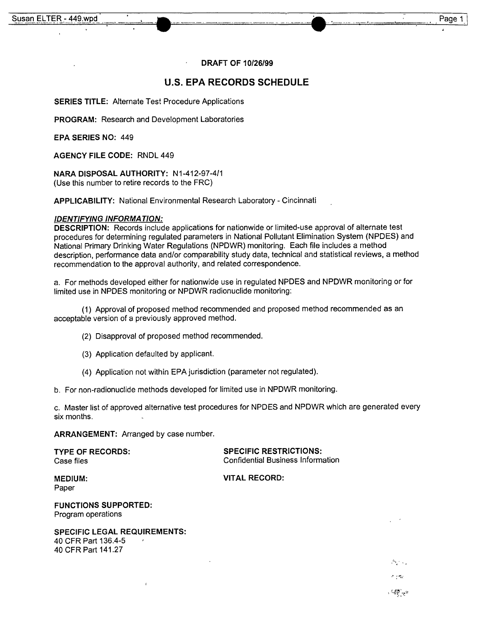#### DRAFT OF *10/26/99*

#### u.s. **EPA RECORDS SCHEDULE**

SERIES TITLE: Alternate Test Procedure Applications

PROGRAM: Research and Development Laboratories

EPA SERIES NO: 449

AGENCY FILE CODE: RNDL 449

NARA DISPOSAL AUTHORITY: N1-412-97-4/1 (Use this number to retire records to the FRC)

APPLICABILITY: National Environmental Research Laboratory - Cincinnati

#### *IDENTIFYING INFORMA TION:*

DESCRIPTION: Records include applications for nationwide or limited-use approval of alternate test procedures for determining regulated parameters in National Pollutant Elimination System (NPDES) and National Primary Drinking Water Regulations (NPDWR) monitoring. Each file includes a method description, performance data and/or comparability study data, technical and statistical reviews, a method recommendation to the approval authority, and related correspondence.

a. For methods developed either for nationwide use in regulated NPDES and NPDWR monitoring or for limited use in NPDES monitoring or NPDWR radionuclide monitoring:

(1) Approval of proposed method recommended and proposed method recommended as an acceptable version of a previously approved method.

- (2) Disapproval of proposed method recommended.
- (3) Application defaulted by applicant.
- (4) Application not within EPA jurisdiction (parameter not regulated).

b. For non-radionuclide methods developed for limited use in NPDWR monitoring.

c. Master list of approved alternative test procedures for NPDES and NPDWR which are generated every six months.

ARRANGEMENT: Arranged by case number.

TYPE OF RECORDS: SPECIFIC RESTRICTIONS: Case files Confidential Business Information

MEDIUM: VITAL RECORD:

Paper

FUNCTIONS SUPPORTED: Program operations

SPECIFIC LEGAL REQUIREMENTS: 40 CFR Part 136.4-5 40 CFR Part 141.27

- I\_~*<I' • "*

n ente

 $-3\pi$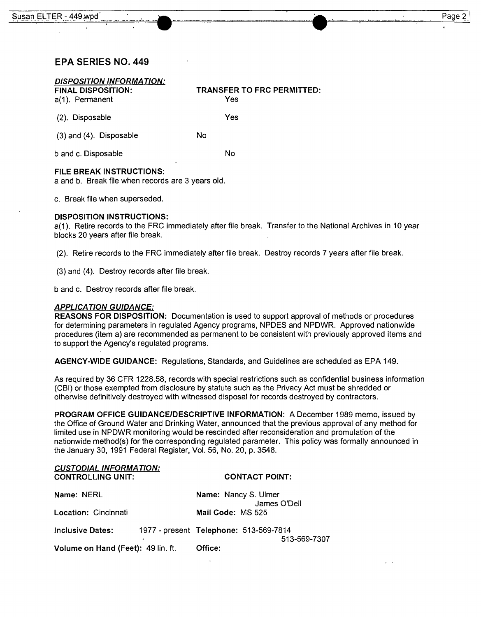## EPA SERIES NO. 449

| <b>DISPOSITION INFORMATION:</b><br><b>FINAL DISPOSITION:</b><br>a(1). Permanent | <b>TRANSFER TO FRC PERMITTED:</b><br>Yes |
|---------------------------------------------------------------------------------|------------------------------------------|
| (2). Disposable                                                                 | Yes                                      |
| $(3)$ and $(4)$ . Disposable                                                    | No                                       |
| b and c. Disposable                                                             | No                                       |
| ×                                                                               |                                          |

### FILE BREAK INSTRUCTIONS:

a and b. Break file when records are 3 years old.

c. Break file when superseded.

#### DISPOSITION INSTRUCTIONS:

a( 1). Retire records to the FRC immediately after file break. Transfer to the National Archives in 10 year blocks 20 years after file break.

(2). Retire records to the FRC immediately after file break. Destroy records 7 years after file break.

(3) and (4). Destroy records after file break.

band c. Destroy records after file break.

#### *APPLICA TION GUIDANCE:*

REASONS FOR DISPOSITION: Documentation is used to support approval of methods or procedures for determining parameters in regulated Agency programs, NPDES and NPDWR. Approved nationwide procedures (item a) are recommended as permanent to be consistent with previously approved items and to support the Agency's regulated programs.

AGENCY-WIDE GUIDANCE: Regulations, Standards, and Guidelines are scheduled as EPA 149.

As required by 36 CFR 1228.58, records with special restrictions such as confidential business information (CBI) or those exempted from disclosure by statute such as the Privacy Act must be shredded or otherwise definitively destroyed with witnessed disposal for records destroyed by contractors.

PROGRAM OFFICE GUIDANCE/DESCRIPTIVE INFORMATION: A December 1989 memo, issued by the Office of Ground Water and Drinking Water, announced that the previous approval of any method for limited use in NPDWR monitoring would be rescinded after reconsideration and promulation of the nationwide method(s) for the corresponding regulated parameter. This policy was formally announced in the January 30, 1991 Federal Register, Vol. 56, No. 20, p. 3548.

| <b>CUSTODIAL INFORMATION:</b> |
|-------------------------------|
| <b>CONTROLLING UNIT:</b>      |

## CONTACT POINT:

| Name: NERL                         | Name: Nancy S. Ulmer                   |  |             |  |
|------------------------------------|----------------------------------------|--|-------------|--|
| Location: Cincinnati               | James O'Dell<br>Mail Code: MS 525      |  |             |  |
| <b>Inclusive Dates:</b>            | 1977 - present Telephone: 513-569-7814 |  |             |  |
| Volume on Hand (Feet): 49 lin. ft. | Office:                                |  | 513-569-730 |  |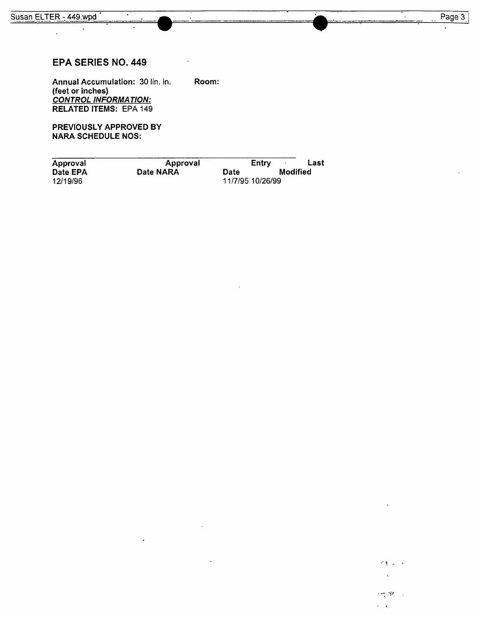$\ddot{\phantom{a}}$ 

竹美 三十  $\ddot{\phantom{a}}$ 

 $\label{eq:1} \mathcal{L}(\text{supp}_{\mathcal{S}_k} \mathcal{L}^{\text{alg}}_{\mathcal{S}_k} \mathcal{F}) = \mathcal{L}_k$  $\epsilon = \sqrt{\epsilon}$ 

# **EPA SERIES NO. 449**

**Annual Accumulation:** 30 lin. in. **Room: (feet or inches)** *CONTROL INFORMA TION:* **RELATED ITEMS:** EPA 149

**PREVIOUSLY APPROVED BY NARA SCHEDULE NOS:**

| Approval             | Approval  | Entry                    | Last     |
|----------------------|-----------|--------------------------|----------|
| Date EPA<br>12/19/96 | Date NARA | Date<br>11/7/95 10/26/99 | Modified |
|                      |           |                          |          |